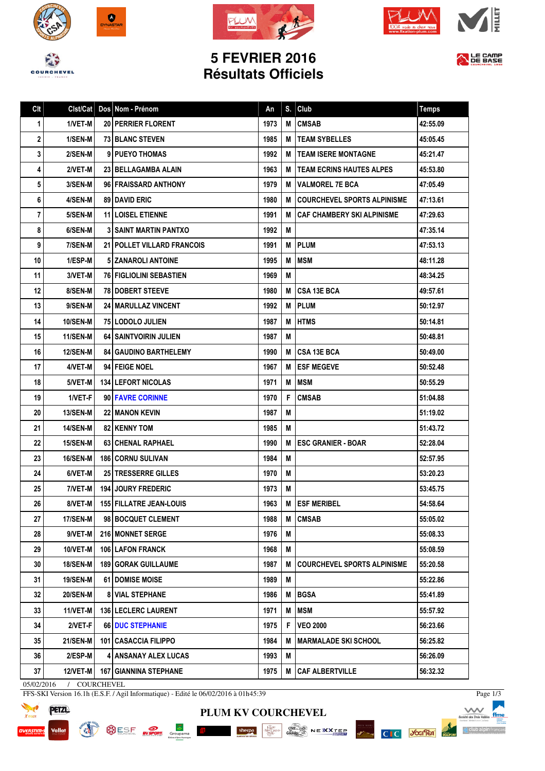







## **5 FEVRIER 2016 Résultats Officiels**



| Cl <sub>t</sub> | Clst/Cat        | Dos Nom - Prénom               | An   | S. | Club                               | <b>Temps</b> |
|-----------------|-----------------|--------------------------------|------|----|------------------------------------|--------------|
| 1               | 1/VET-M         | <b>20   PERRIER FLORENT</b>    | 1973 | M  | <b>CMSAB</b>                       | 42:55.09     |
| 2               | 1/SEN-M         | <b>73 BLANC STEVEN</b>         | 1985 | M  | <b>TEAM SYBELLES</b>               | 45:05.45     |
| 3               | 2/SEN-M         | 9 PUEYO THOMAS                 | 1992 | М  | <b>TEAM ISERE MONTAGNE</b>         | 45:21.47     |
| 4               | 2/VET-M         | 23 BELLAGAMBA ALAIN            | 1963 | M  | <b>TEAM ECRINS HAUTES ALPES</b>    | 45:53.80     |
| 5               | 3/SEN-M         | 96 FRAISSARD ANTHONY           | 1979 | M  | <b>VALMOREL 7E BCA</b>             | 47:05.49     |
| 6               | 4/SEN-M         | <b>89   DAVID ERIC</b>         | 1980 | М  | <b>COURCHEVEL SPORTS ALPINISME</b> | 47:13.61     |
| 7               | 5/SEN-M         | <b>11 LOISEL ETIENNE</b>       | 1991 | М  | <b>CAF CHAMBERY SKI ALPINISME</b>  | 47:29.63     |
| 8               | 6/SEN-M         | <b>3 SAINT MARTIN PANTXO</b>   | 1992 | Μ  |                                    | 47:35.14     |
| 9               | 7/SEN-M         | 21   POLLET VILLARD FRANCOIS   | 1991 | M  | <b>IPLUM</b>                       | 47:53.13     |
| 10              | 1/ESP-M         | 5 ZANAROLI ANTOINE             | 1995 | M  | <b>MSM</b>                         | 48:11.28     |
| 11              | 3/VET-M         | <b>76 FIGLIOLINI SEBASTIEN</b> | 1969 | Μ  |                                    | 48:34.25     |
| 12              | 8/SEN-M         | <b>78 DOBERT STEEVE</b>        | 1980 | M  | <b>CSA 13E BCA</b>                 | 49:57.61     |
| 13              | 9/SEN-M         | <b>24   MARULLAZ VINCENT</b>   | 1992 | Μ  | <b>PLUM</b>                        | 50:12.97     |
| 14              | <b>10/SEN-M</b> | <b>75 LODOLO JULIEN</b>        | 1987 | M  | <b>HTMS</b>                        | 50:14.81     |
| 15              | 11/SEN-M        | <b>64 SAINTVOIRIN JULIEN</b>   | 1987 | M  |                                    | 50:48.81     |
| 16              | <b>12/SEN-M</b> | <b>841 GAUDINO BARTHELEMY</b>  | 1990 | М  | <b>CSA 13E BCA</b>                 | 50:49.00     |
| 17              | 4/VET-M         | 94 FEIGE NOEL                  | 1967 | M  | <b>ESF MEGEVE</b>                  | 50:52.48     |
| 18              | 5/VET-M         | <b>134 LEFORT NICOLAS</b>      | 1971 | M  | <b>MSM</b>                         | 50:55.29     |
| 19              | 1/VET-F         | 90 FAVRE CORINNE               | 1970 | F  | <b>CMSAB</b>                       | 51:04.88     |
| 20              | <b>13/SEN-M</b> | <b>22 I MANON KEVIN</b>        | 1987 | M  |                                    | 51:19.02     |
| 21              | <b>14/SEN-M</b> | <b>82   KENNY TOM</b>          | 1985 | M  |                                    | 51:43.72     |
| 22              | <b>15/SEN-M</b> | <b>63   CHENAL RAPHAEL</b>     | 1990 | М  | <b>ESC GRANIER - BOAR</b>          | 52:28.04     |
| 23              | <b>16/SEN-M</b> | <b>186 CORNU SULIVAN</b>       | 1984 | M  |                                    | 52:57.95     |
| 24              | 6/VET-M         | 25 TRESSERRE GILLES            | 1970 | Μ  |                                    | 53:20.23     |
| 25              | 7/VET-M         | 194 JOURY FREDERIC             | 1973 | M  |                                    | 53:45.75     |
| 26              | 8/VET-MI        | 155 FILLATRE JEAN-LOUIS        | 1963 |    | <b>M LESF MERIBEL</b>              | 54:58.64     |
| 27              | 17/SEN-M        | 98 BOCQUET CLEMENT             | 1988 | Μ  | <b>CMSAB</b>                       | 55:05.02     |
| 28              | 9/VET-M         | 216 MONNET SERGE               | 1976 | Μ  |                                    | 55:08.33     |
| 29              | 10/VET-M        | <b>106   LAFON FRANCK</b>      | 1968 | Μ  |                                    | 55:08.59     |
| 30              | <b>18/SEN-M</b> | <b>189   GORAK GUILLAUME</b>   | 1987 | M  | <b>COURCHEVEL SPORTS ALPINISME</b> | 55:20.58     |
| 31              | <b>19/SEN-M</b> | 61   DOMISE MOISE              | 1989 | М  |                                    | 55:22.86     |
| 32              | <b>20/SEN-M</b> | <b>8 VIAL STEPHANE</b>         | 1986 | Μ  | <b>BGSA</b>                        | 55:41.89     |
| 33              | <b>11/VET-M</b> | 136 LECLERC LAURENT            | 1971 | М  | <b>MSM</b>                         | 55:57.92     |
| 34              | 2/VET-F         | 66 DUC STEPHANIE               | 1975 | F  | <b>VEO 2000</b>                    | 56:23.66     |
| 35              | <b>21/SEN-M</b> | 101 CASACCIA FILIPPO           | 1984 | M  | <b>MARMALADE SKI SCHOOL</b>        | 56:25.82     |
| 36              | 2/ESP-M         | 4 ANSANAY ALEX LUCAS           | 1993 | M  |                                    | 56:26.09     |
| 37 <sup>5</sup> | 12/VET-M        | <b>167   GIANNINA STEPHANE</b> | 1975 | М  | CAF ALBERTVILLE                    | 56:32.32     |

**PLUM KV COURCHEVEL**

 $\text{sheqpo}\quad\qquad \text{where}\quad \text{else}\quad \text{else}\quad \text{else}\quad \text{else}\quad \text{else} \quad \text{else} \quad \text{else} \quad \text{else} \quad \text{else} \quad \text{else} \quad \text{else} \quad \text{else} \quad \text{else} \quad \text{else} \quad \text{else} \quad \text{else} \quad \text{else} \quad \text{else} \quad \text{else} \quad \text{else} \quad \text{else} \quad \text{else} \quad \text{else} \quad \text{else} \quad \text{else} \quad \text{else} \quad \text{else} \quad \text{else} \quad \text{else} \quad \text{else$ 

05/02/2016 / COURCHEVEL

FFS-SKI Version 16.1h (E.S.F. / Agil Informatique) - Edité le 06/02/2016 à 01h45:39

SESE **REPORT** Groupama



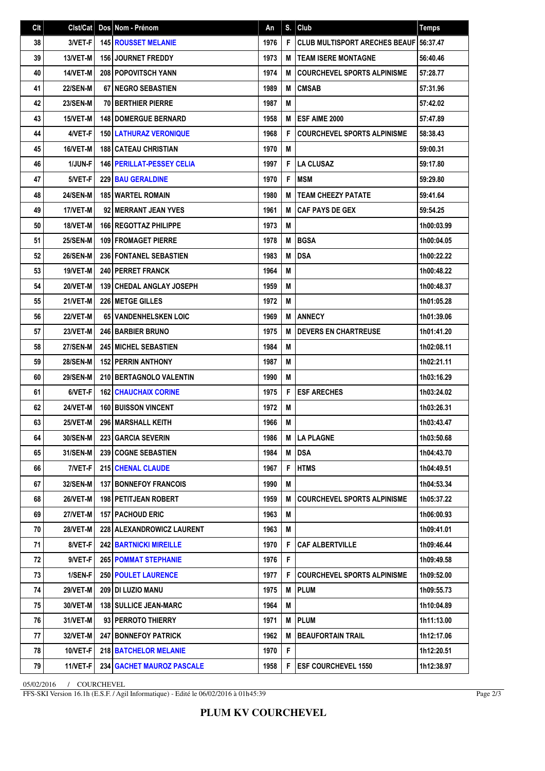| Cl <sub>t</sub> | Clst/Cat        | Dos Nom - Prénom                   | An   | S. | Club                                 | <b>Temps</b> |
|-----------------|-----------------|------------------------------------|------|----|--------------------------------------|--------------|
| 38              | 3/VET-F         | <b>145 ROUSSET MELANIE</b>         | 1976 | F  | <b>CLUB MULTISPORT ARECHES BEAUF</b> | 56:37.47     |
| 39              | 13/VET-M        | <b>156 JOURNET FREDDY</b>          | 1973 | м  | <b>TEAM ISERE MONTAGNE</b>           | 56:40.46     |
| 40              | 14/VET-M        | 208 POPOVITSCH YANN                | 1974 | M  | <b>COURCHEVEL SPORTS ALPINISME</b>   | 57:28.77     |
| 41              | <b>22/SEN-M</b> | <b>67 INEGRO SEBASTIEN</b>         | 1989 | M  | <b>CMSAB</b>                         | 57:31.96     |
| 42              | <b>23/SEN-M</b> | <b>70 BERTHIER PIERRE</b>          | 1987 | M  |                                      | 57:42.02     |
| 43              | 15/VET-M        | <b>148 DOMERGUE BERNARD</b>        | 1958 | M  | ESF AIME 2000                        | 57:47.89     |
| 44              | 4/VET-F         | <b>150 LATHURAZ VERONIQUE</b>      | 1968 | F  | <b>COURCHEVEL SPORTS ALPINISME</b>   | 58:38.43     |
| 45              | 16/VET-M        | <b>188 CATEAU CHRISTIAN</b>        | 1970 | M  |                                      | 59:00.31     |
| 46              | 1/JUN-F         | <b>146   PERILLAT-PESSEY CELIA</b> | 1997 | F  | <b>LA CLUSAZ</b>                     | 59:17.80     |
| 47              | 5/VET-F         | <b>229 BAU GERALDINE</b>           | 1970 | F  | <b>MSM</b>                           | 59:29.80     |
| 48              | <b>24/SEN-M</b> | <b>185 WARTEL ROMAIN</b>           | 1980 | M  | <b>TEAM CHEEZY PATATE</b>            | 59:41.64     |
| 49              | 17/VET-M        | 92 MERRANT JEAN YVES               | 1961 | M  | <b>CAF PAYS DE GEX</b>               | 59:54.25     |
| 50              | 18/VET-M        | <b>166 REGOTTAZ PHILIPPE</b>       | 1973 | M  |                                      | 1h00:03.99   |
| 51              | <b>25/SEN-M</b> | <b>109 FROMAGET PIERRE</b>         | 1978 | M  | <b>BGSA</b>                          | 1h00:04.05   |
| 52              | <b>26/SEN-M</b> | <b>236 FONTANEL SEBASTIEN</b>      | 1983 | M  | <b>DSA</b>                           | 1h00:22.22   |
| 53              | 19/VET-M        | <b>240   PERRET FRANCK</b>         | 1964 | M  |                                      | 1h00:48.22   |
| 54              | 20/VET-M        | 139 CHEDAL ANGLAY JOSEPH           | 1959 | M  |                                      | 1h00:48.37   |
| 55              | 21/VET-M        | 226 METGE GILLES                   | 1972 | M  |                                      | 1h01:05.28   |
| 56              | <b>22/VET-M</b> | <b>65 VANDENHELSKEN LOIC</b>       | 1969 | M  | <b>ANNECY</b>                        | 1h01:39.06   |
| 57              | 23/VET-M        | <b>246 BARBIER BRUNO</b>           | 1975 | M  | <b>DEVERS EN CHARTREUSE</b>          | 1h01:41.20   |
| 58              | <b>27/SEN-M</b> | <b>245   MICHEL SEBASTIEN</b>      | 1984 | M  |                                      | 1h02:08.11   |
| 59              | <b>28/SEN-M</b> | <b>152 PERRIN ANTHONY</b>          | 1987 | M  |                                      | 1h02:21.11   |
| 60              | <b>29/SEN-M</b> | <b>210 BERTAGNOLO VALENTIN</b>     | 1990 | M  |                                      | 1h03:16.29   |
| 61              | 6/VET-F         | <b>162 CHAUCHAIX CORINE</b>        | 1975 | F  | <b>ESF ARECHES</b>                   | 1h03:24.02   |
| 62              | 24/VET-M        | <b>160 BUISSON VINCENT</b>         | 1972 | M  |                                      | 1h03:26.31   |
| 63              | 25/VET-M        | 296 MARSHALL KEITH                 | 1966 | M  |                                      | 1h03:43.47   |
| 64              | 30/SEN-M        | 223 GARCIA SEVERIN                 | 1986 |    | M   LA PLAGNE                        | 1h03:50.68   |
| 65              | <b>31/SEN-M</b> | 239 COGNE SEBASTIEN                | 1984 |    | <b>M</b> DSA                         | 1h04:43.70   |
| 66              | 7/VET-F         | 215 CHENAL CLAUDE                  | 1967 | F  | <b>HTMS</b>                          | 1h04:49.51   |
| 67              | 32/SEN-M        | <b>137 BONNEFOY FRANCOIS</b>       | 1990 | M  |                                      | 1h04:53.34   |
| 68              | 26/VET-M        | 198 PETITJEAN ROBERT               | 1959 | M  | <b>COURCHEVEL SPORTS ALPINISME</b>   | 1h05:37.22   |
| 69              | <b>27/VET-M</b> | 157 PACHOUD ERIC                   | 1963 | M  |                                      | 1h06:00.93   |
| 70              | <b>28/VET-M</b> | <b>228   ALEXANDROWICZ LAURENT</b> | 1963 | M  |                                      | 1h09:41.01   |
| 71              | 8/VET-F         | <b>242   BARTNICKI MIREILLE</b>    | 1970 | F  | <b>CAF ALBERTVILLE</b>               | 1h09:46.44   |
| 72              | 9/VET-F         | <b>265   POMMAT STEPHANIE</b>      | 1976 | F  |                                      | 1h09:49.58   |
| 73              | 1/SEN-F         | <b>250   POULET LAURENCE</b>       | 1977 | F  | <b>COURCHEVEL SPORTS ALPINISME</b>   | 1h09:52.00   |
| 74              | <b>29/VET-M</b> | <b>209 DI LUZIO MANU</b>           | 1975 | M  | <b>PLUM</b>                          | 1h09:55.73   |
| 75              | 30/VET-M        | 138 SULLICE JEAN-MARC              | 1964 | M  |                                      | 1h10:04.89   |
| 76              | 31/VET-M        | 93 PERROTO THIERRY                 | 1971 | М  | <b>PLUM</b>                          | 1h11:13.00   |
| 77              | 32/VET-M        | <b>247 BONNEFOY PATRICK</b>        | 1962 | M  | <b>BEAUFORTAIN TRAIL</b>             | 1h12:17.06   |
| 78              | 10/VET-F        | <b>218   BATCHELOR MELANIE</b>     | 1970 | F  |                                      | 1h12:20.51   |
| 79              | 11/VET-F        | <b>234   GACHET MAUROZ PASCALE</b> | 1958 | F  | <b>ESF COURCHEVEL 1550</b>           | 1h12:38.97   |

05/02/2016 / COURCHEVEL

FFS-SKI Version 16.1h (E.S.F. / Agil Informatique) - Edité le 06/02/2016 à 01h45:39